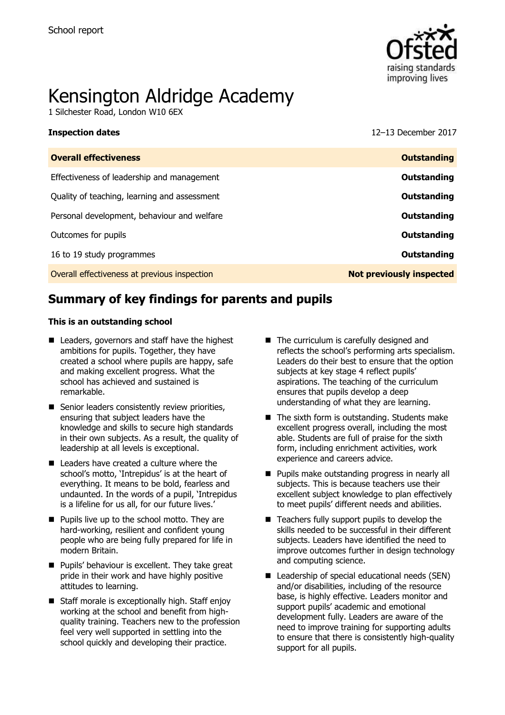

# Kensington Aldridge Academy

1 Silchester Road, London W10 6EX

**Inspection dates** 12–13 December 2017

| <b>Overall effectiveness</b>                 | <b>Outstanding</b>              |
|----------------------------------------------|---------------------------------|
| Effectiveness of leadership and management   | Outstanding                     |
| Quality of teaching, learning and assessment | Outstanding                     |
| Personal development, behaviour and welfare  | Outstanding                     |
| Outcomes for pupils                          | Outstanding                     |
| 16 to 19 study programmes                    | Outstanding                     |
| Overall effectiveness at previous inspection | <b>Not previously inspected</b> |
|                                              |                                 |

# **Summary of key findings for parents and pupils**

#### **This is an outstanding school**

- Leaders, governors and staff have the highest ambitions for pupils. Together, they have created a school where pupils are happy, safe and making excellent progress. What the school has achieved and sustained is remarkable.
- Senior leaders consistently review priorities, ensuring that subject leaders have the knowledge and skills to secure high standards in their own subjects. As a result, the quality of leadership at all levels is exceptional.
- Leaders have created a culture where the school's motto, 'Intrepidus' is at the heart of everything. It means to be bold, fearless and undaunted. In the words of a pupil, 'Intrepidus is a lifeline for us all, for our future lives.'
- **Pupils live up to the school motto. They are** hard-working, resilient and confident young people who are being fully prepared for life in modern Britain.
- **Pupils' behaviour is excellent. They take great** pride in their work and have highly positive attitudes to learning.
- Staff morale is exceptionally high. Staff enjoy working at the school and benefit from highquality training. Teachers new to the profession feel very well supported in settling into the school quickly and developing their practice.
- The curriculum is carefully designed and reflects the school's performing arts specialism. Leaders do their best to ensure that the option subjects at key stage 4 reflect pupils' aspirations. The teaching of the curriculum ensures that pupils develop a deep understanding of what they are learning.
- The sixth form is outstanding. Students make excellent progress overall, including the most able. Students are full of praise for the sixth form, including enrichment activities, work experience and careers advice.
- **Pupils make outstanding progress in nearly all** subjects. This is because teachers use their excellent subject knowledge to plan effectively to meet pupils' different needs and abilities.
- $\blacksquare$  Teachers fully support pupils to develop the skills needed to be successful in their different subjects. Leaders have identified the need to improve outcomes further in design technology and computing science.
- Leadership of special educational needs (SEN) and/or disabilities, including of the resource base, is highly effective. Leaders monitor and support pupils' academic and emotional development fully. Leaders are aware of the need to improve training for supporting adults to ensure that there is consistently high-quality support for all pupils.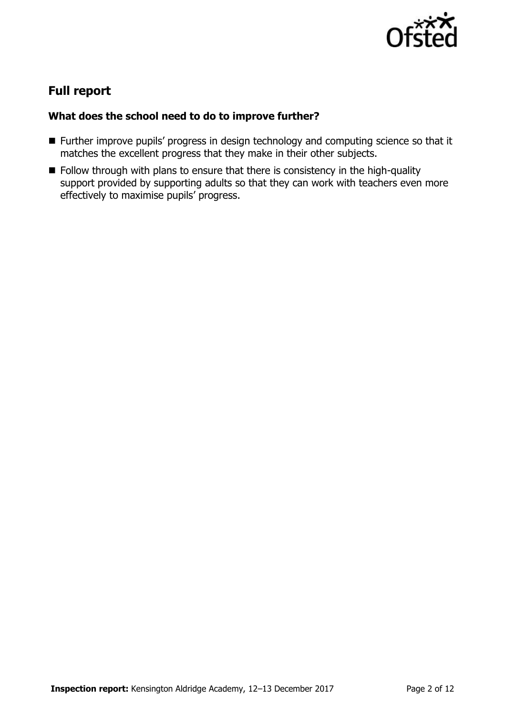

# **Full report**

### **What does the school need to do to improve further?**

- Further improve pupils' progress in design technology and computing science so that it matches the excellent progress that they make in their other subjects.
- Follow through with plans to ensure that there is consistency in the high-quality support provided by supporting adults so that they can work with teachers even more effectively to maximise pupils' progress.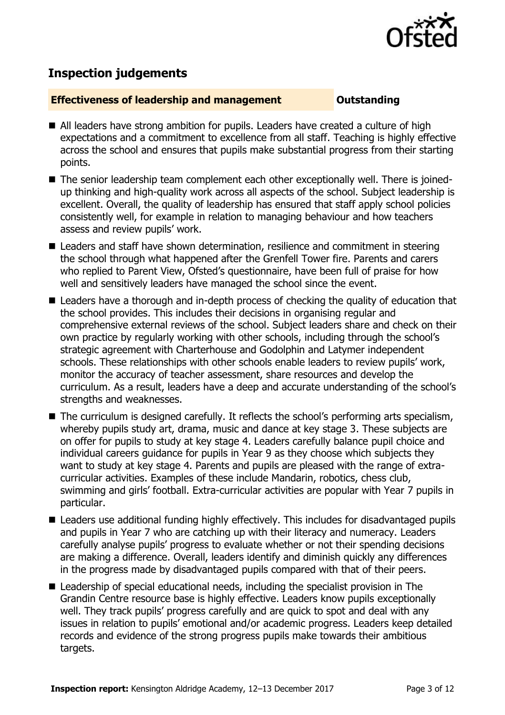

# **Inspection judgements**

#### **Effectiveness of leadership and management Constanding**

- All leaders have strong ambition for pupils. Leaders have created a culture of high expectations and a commitment to excellence from all staff. Teaching is highly effective across the school and ensures that pupils make substantial progress from their starting points.
- The senior leadership team complement each other exceptionally well. There is joinedup thinking and high-quality work across all aspects of the school. Subject leadership is excellent. Overall, the quality of leadership has ensured that staff apply school policies consistently well, for example in relation to managing behaviour and how teachers assess and review pupils' work.
- Leaders and staff have shown determination, resilience and commitment in steering the school through what happened after the Grenfell Tower fire. Parents and carers who replied to Parent View, Ofsted's questionnaire, have been full of praise for how well and sensitively leaders have managed the school since the event.
- Leaders have a thorough and in-depth process of checking the quality of education that the school provides. This includes their decisions in organising regular and comprehensive external reviews of the school. Subject leaders share and check on their own practice by regularly working with other schools, including through the school's strategic agreement with Charterhouse and Godolphin and Latymer independent schools. These relationships with other schools enable leaders to review pupils' work, monitor the accuracy of teacher assessment, share resources and develop the curriculum. As a result, leaders have a deep and accurate understanding of the school's strengths and weaknesses.
- $\blacksquare$  The curriculum is designed carefully. It reflects the school's performing arts specialism, whereby pupils study art, drama, music and dance at key stage 3. These subjects are on offer for pupils to study at key stage 4. Leaders carefully balance pupil choice and individual careers guidance for pupils in Year 9 as they choose which subjects they want to study at key stage 4. Parents and pupils are pleased with the range of extracurricular activities. Examples of these include Mandarin, robotics, chess club, swimming and girls' football. Extra-curricular activities are popular with Year 7 pupils in particular.
- Leaders use additional funding highly effectively. This includes for disadvantaged pupils and pupils in Year 7 who are catching up with their literacy and numeracy. Leaders carefully analyse pupils' progress to evaluate whether or not their spending decisions are making a difference. Overall, leaders identify and diminish quickly any differences in the progress made by disadvantaged pupils compared with that of their peers.
- Leadership of special educational needs, including the specialist provision in The Grandin Centre resource base is highly effective. Leaders know pupils exceptionally well. They track pupils' progress carefully and are quick to spot and deal with any issues in relation to pupils' emotional and/or academic progress. Leaders keep detailed records and evidence of the strong progress pupils make towards their ambitious targets.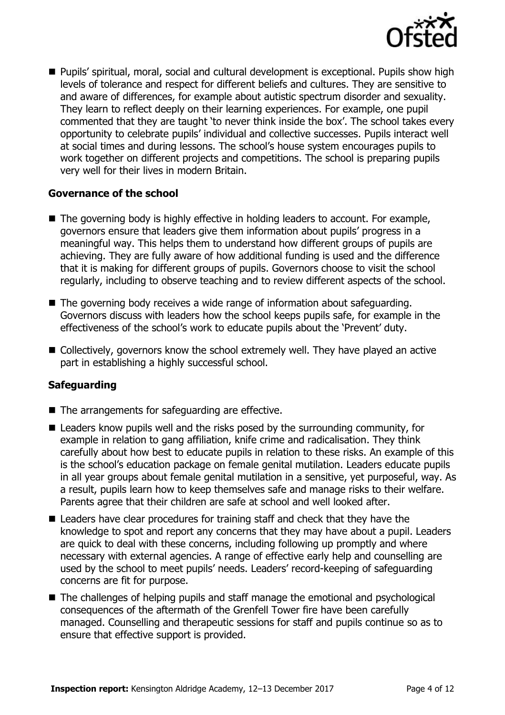

 Pupils' spiritual, moral, social and cultural development is exceptional. Pupils show high levels of tolerance and respect for different beliefs and cultures. They are sensitive to and aware of differences, for example about autistic spectrum disorder and sexuality. They learn to reflect deeply on their learning experiences. For example, one pupil commented that they are taught 'to never think inside the box'. The school takes every opportunity to celebrate pupils' individual and collective successes. Pupils interact well at social times and during lessons. The school's house system encourages pupils to work together on different projects and competitions. The school is preparing pupils very well for their lives in modern Britain.

#### **Governance of the school**

- The governing body is highly effective in holding leaders to account. For example, governors ensure that leaders give them information about pupils' progress in a meaningful way. This helps them to understand how different groups of pupils are achieving. They are fully aware of how additional funding is used and the difference that it is making for different groups of pupils. Governors choose to visit the school regularly, including to observe teaching and to review different aspects of the school.
- The governing body receives a wide range of information about safeguarding. Governors discuss with leaders how the school keeps pupils safe, for example in the effectiveness of the school's work to educate pupils about the 'Prevent' duty.
- Collectively, governors know the school extremely well. They have played an active part in establishing a highly successful school.

### **Safeguarding**

- The arrangements for safeguarding are effective.
- Leaders know pupils well and the risks posed by the surrounding community, for example in relation to gang affiliation, knife crime and radicalisation. They think carefully about how best to educate pupils in relation to these risks. An example of this is the school's education package on female genital mutilation. Leaders educate pupils in all year groups about female genital mutilation in a sensitive, yet purposeful, way. As a result, pupils learn how to keep themselves safe and manage risks to their welfare. Parents agree that their children are safe at school and well looked after.
- Leaders have clear procedures for training staff and check that they have the knowledge to spot and report any concerns that they may have about a pupil. Leaders are quick to deal with these concerns, including following up promptly and where necessary with external agencies. A range of effective early help and counselling are used by the school to meet pupils' needs. Leaders' record-keeping of safeguarding concerns are fit for purpose.
- The challenges of helping pupils and staff manage the emotional and psychological consequences of the aftermath of the Grenfell Tower fire have been carefully managed. Counselling and therapeutic sessions for staff and pupils continue so as to ensure that effective support is provided.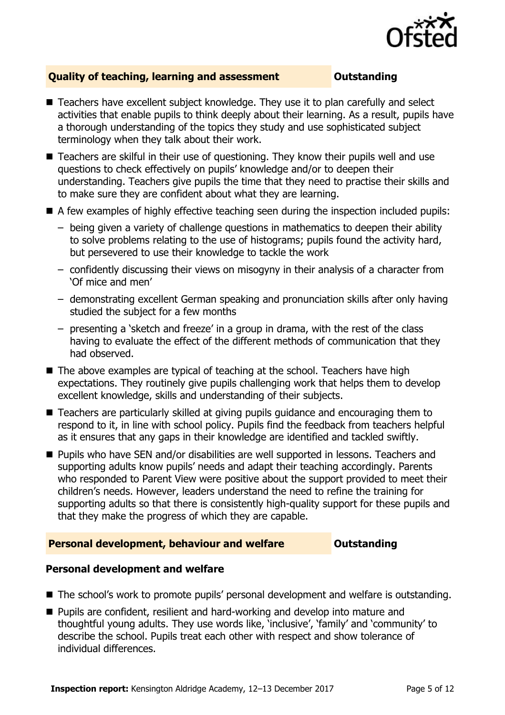

### **Quality of teaching, learning and assessment <b>COUTS** Outstanding

- Teachers have excellent subject knowledge. They use it to plan carefully and select activities that enable pupils to think deeply about their learning. As a result, pupils have a thorough understanding of the topics they study and use sophisticated subject terminology when they talk about their work.
- Teachers are skilful in their use of questioning. They know their pupils well and use questions to check effectively on pupils' knowledge and/or to deepen their understanding. Teachers give pupils the time that they need to practise their skills and to make sure they are confident about what they are learning.
- A few examples of highly effective teaching seen during the inspection included pupils:
	- being given a variety of challenge questions in mathematics to deepen their ability to solve problems relating to the use of histograms; pupils found the activity hard, but persevered to use their knowledge to tackle the work
	- confidently discussing their views on misogyny in their analysis of a character from 'Of mice and men'
	- demonstrating excellent German speaking and pronunciation skills after only having studied the subject for a few months
	- presenting a 'sketch and freeze' in a group in drama, with the rest of the class having to evaluate the effect of the different methods of communication that they had observed.
- The above examples are typical of teaching at the school. Teachers have high expectations. They routinely give pupils challenging work that helps them to develop excellent knowledge, skills and understanding of their subjects.
- Teachers are particularly skilled at giving pupils guidance and encouraging them to respond to it, in line with school policy. Pupils find the feedback from teachers helpful as it ensures that any gaps in their knowledge are identified and tackled swiftly.
- **Pupils who have SEN and/or disabilities are well supported in lessons. Teachers and** supporting adults know pupils' needs and adapt their teaching accordingly. Parents who responded to Parent View were positive about the support provided to meet their children's needs. However, leaders understand the need to refine the training for supporting adults so that there is consistently high-quality support for these pupils and that they make the progress of which they are capable.

#### **Personal development, behaviour and welfare <b>COUTS** Outstanding

#### **Personal development and welfare**

- The school's work to promote pupils' personal development and welfare is outstanding.
- Pupils are confident, resilient and hard-working and develop into mature and thoughtful young adults. They use words like, 'inclusive', 'family' and 'community' to describe the school. Pupils treat each other with respect and show tolerance of individual differences.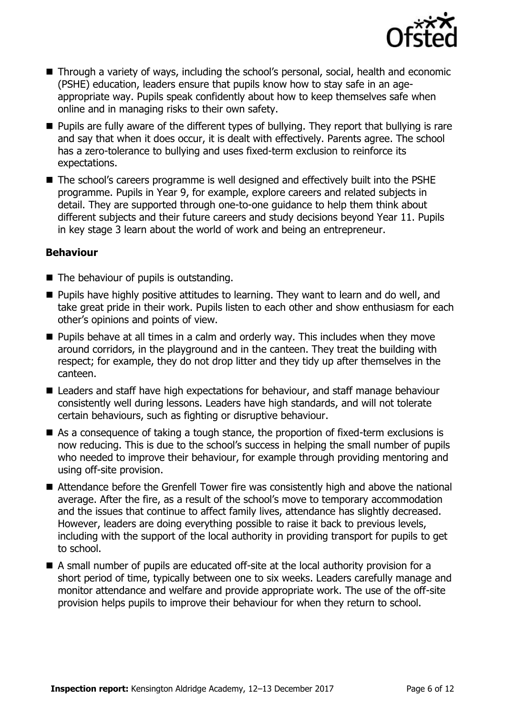

- Through a variety of ways, including the school's personal, social, health and economic (PSHE) education, leaders ensure that pupils know how to stay safe in an ageappropriate way. Pupils speak confidently about how to keep themselves safe when online and in managing risks to their own safety.
- **Pupils are fully aware of the different types of bullying. They report that bullying is rare** and say that when it does occur, it is dealt with effectively. Parents agree. The school has a zero-tolerance to bullying and uses fixed-term exclusion to reinforce its expectations.
- The school's careers programme is well designed and effectively built into the PSHE programme. Pupils in Year 9, for example, explore careers and related subjects in detail. They are supported through one-to-one guidance to help them think about different subjects and their future careers and study decisions beyond Year 11. Pupils in key stage 3 learn about the world of work and being an entrepreneur.

#### **Behaviour**

- The behaviour of pupils is outstanding.
- **Pupils have highly positive attitudes to learning. They want to learn and do well, and** take great pride in their work. Pupils listen to each other and show enthusiasm for each other's opinions and points of view.
- $\blacksquare$  Pupils behave at all times in a calm and orderly way. This includes when they move around corridors, in the playground and in the canteen. They treat the building with respect; for example, they do not drop litter and they tidy up after themselves in the canteen.
- Leaders and staff have high expectations for behaviour, and staff manage behaviour consistently well during lessons. Leaders have high standards, and will not tolerate certain behaviours, such as fighting or disruptive behaviour.
- As a consequence of taking a tough stance, the proportion of fixed-term exclusions is now reducing. This is due to the school's success in helping the small number of pupils who needed to improve their behaviour, for example through providing mentoring and using off-site provision.
- Attendance before the Grenfell Tower fire was consistently high and above the national average. After the fire, as a result of the school's move to temporary accommodation and the issues that continue to affect family lives, attendance has slightly decreased. However, leaders are doing everything possible to raise it back to previous levels, including with the support of the local authority in providing transport for pupils to get to school.
- A small number of pupils are educated off-site at the local authority provision for a short period of time, typically between one to six weeks. Leaders carefully manage and monitor attendance and welfare and provide appropriate work. The use of the off-site provision helps pupils to improve their behaviour for when they return to school.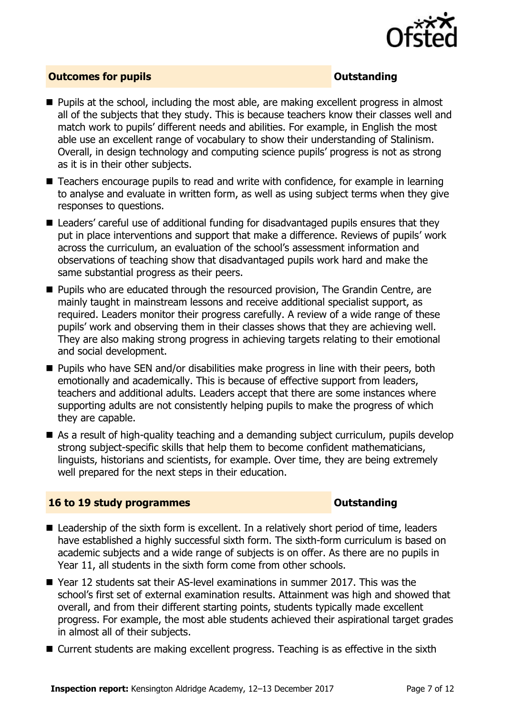

### **Outcomes for pupils Outstanding**

- **Pupils at the school, including the most able, are making excellent progress in almost** all of the subjects that they study. This is because teachers know their classes well and match work to pupils' different needs and abilities. For example, in English the most able use an excellent range of vocabulary to show their understanding of Stalinism. Overall, in design technology and computing science pupils' progress is not as strong as it is in their other subjects.
- Teachers encourage pupils to read and write with confidence, for example in learning to analyse and evaluate in written form, as well as using subject terms when they give responses to questions.
- Leaders' careful use of additional funding for disadvantaged pupils ensures that they put in place interventions and support that make a difference. Reviews of pupils' work across the curriculum, an evaluation of the school's assessment information and observations of teaching show that disadvantaged pupils work hard and make the same substantial progress as their peers.
- **Pupils who are educated through the resourced provision, The Grandin Centre, are** mainly taught in mainstream lessons and receive additional specialist support, as required. Leaders monitor their progress carefully. A review of a wide range of these pupils' work and observing them in their classes shows that they are achieving well. They are also making strong progress in achieving targets relating to their emotional and social development.
- **Pupils who have SEN and/or disabilities make progress in line with their peers, both** emotionally and academically. This is because of effective support from leaders, teachers and additional adults. Leaders accept that there are some instances where supporting adults are not consistently helping pupils to make the progress of which they are capable.
- As a result of high-quality teaching and a demanding subject curriculum, pupils develop strong subject-specific skills that help them to become confident mathematicians, linguists, historians and scientists, for example. Over time, they are being extremely well prepared for the next steps in their education.

### **16 to 19 study programmes CONSTANDING CONSTANDING CONSTANDING CONSTANDING CONSTANDING CONSTANDING CONSTANDING CONSTANDING CONSTANDING CONSTANDING CONSTANDING CONSTANDING CONSTANDING CONSTANDING CONSTANDING CONSTANDING C**

- Leadership of the sixth form is excellent. In a relatively short period of time, leaders have established a highly successful sixth form. The sixth-form curriculum is based on academic subjects and a wide range of subjects is on offer. As there are no pupils in Year 11, all students in the sixth form come from other schools.
- Year 12 students sat their AS-level examinations in summer 2017. This was the school's first set of external examination results. Attainment was high and showed that overall, and from their different starting points, students typically made excellent progress. For example, the most able students achieved their aspirational target grades in almost all of their subjects.
- Current students are making excellent progress. Teaching is as effective in the sixth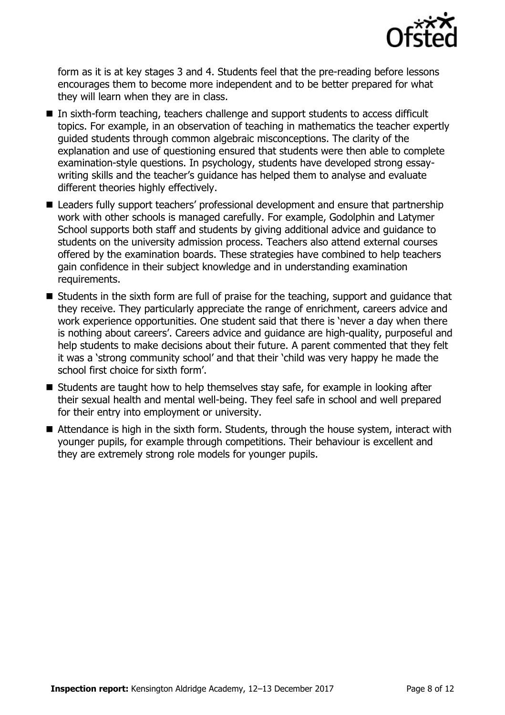

form as it is at key stages 3 and 4. Students feel that the pre-reading before lessons encourages them to become more independent and to be better prepared for what they will learn when they are in class.

- In sixth-form teaching, teachers challenge and support students to access difficult topics. For example, in an observation of teaching in mathematics the teacher expertly guided students through common algebraic misconceptions. The clarity of the explanation and use of questioning ensured that students were then able to complete examination-style questions. In psychology, students have developed strong essaywriting skills and the teacher's guidance has helped them to analyse and evaluate different theories highly effectively.
- Leaders fully support teachers' professional development and ensure that partnership work with other schools is managed carefully. For example, Godolphin and Latymer School supports both staff and students by giving additional advice and guidance to students on the university admission process. Teachers also attend external courses offered by the examination boards. These strategies have combined to help teachers gain confidence in their subject knowledge and in understanding examination requirements.
- Students in the sixth form are full of praise for the teaching, support and guidance that they receive. They particularly appreciate the range of enrichment, careers advice and work experience opportunities. One student said that there is 'never a day when there is nothing about careers'. Careers advice and guidance are high-quality, purposeful and help students to make decisions about their future. A parent commented that they felt it was a 'strong community school' and that their 'child was very happy he made the school first choice for sixth form'.
- $\blacksquare$  Students are taught how to help themselves stay safe, for example in looking after their sexual health and mental well-being. They feel safe in school and well prepared for their entry into employment or university.
- Attendance is high in the sixth form. Students, through the house system, interact with younger pupils, for example through competitions. Their behaviour is excellent and they are extremely strong role models for younger pupils.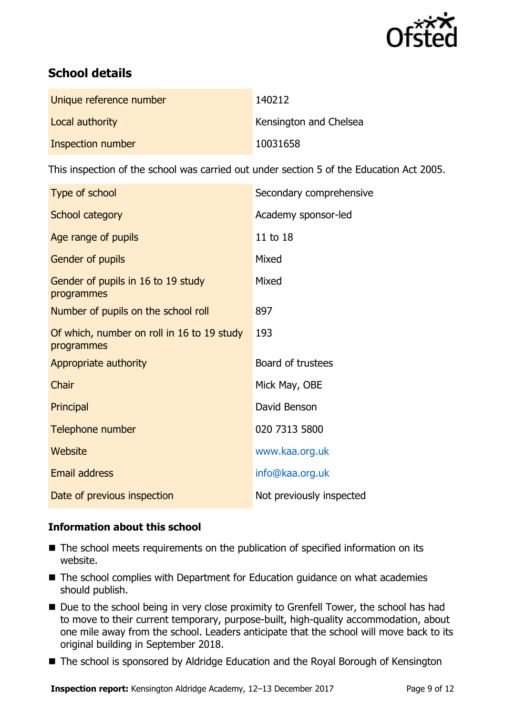

# **School details**

| Unique reference number | 140212                 |
|-------------------------|------------------------|
| Local authority         | Kensington and Chelsea |
| Inspection number       | 10031658               |

This inspection of the school was carried out under section 5 of the Education Act 2005.

| Type of school                                           | Secondary comprehensive  |
|----------------------------------------------------------|--------------------------|
| School category                                          | Academy sponsor-led      |
| Age range of pupils                                      | 11 to 18                 |
| Gender of pupils                                         | Mixed                    |
| Gender of pupils in 16 to 19 study<br>programmes         | Mixed                    |
| Number of pupils on the school roll                      | 897                      |
| Of which, number on roll in 16 to 19 study<br>programmes | 193                      |
| Appropriate authority                                    | Board of trustees        |
| <b>Chair</b>                                             | Mick May, OBE            |
| Principal                                                | David Benson             |
| Telephone number                                         | 020 7313 5800            |
| Website                                                  | www.kaa.org.uk           |
| <b>Email address</b>                                     | info@kaa.org.uk          |
| Date of previous inspection                              | Not previously inspected |

### **Information about this school**

- The school meets requirements on the publication of specified information on its website.
- The school complies with Department for Education guidance on what academies should publish.
- Due to the school being in very close proximity to Grenfell Tower, the school has had to move to their current temporary, purpose-built, high-quality accommodation, about one mile away from the school. Leaders anticipate that the school will move back to its original building in September 2018.
- The school is sponsored by Aldridge Education and the Royal Borough of Kensington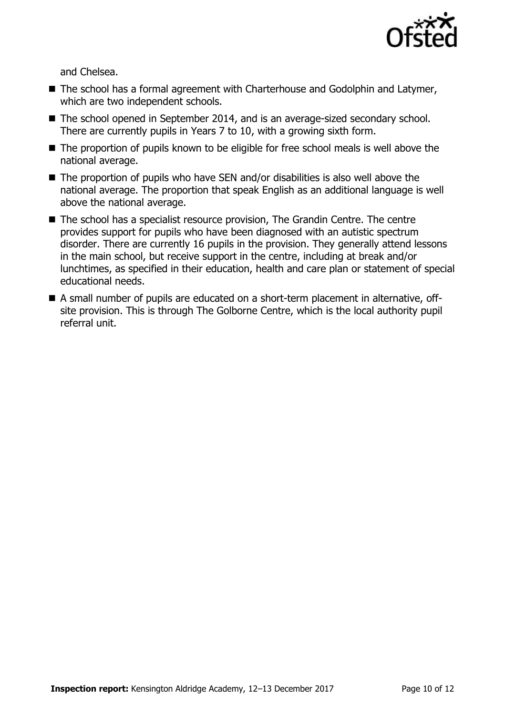

and Chelsea.

- The school has a formal agreement with Charterhouse and Godolphin and Latymer, which are two independent schools.
- The school opened in September 2014, and is an average-sized secondary school. There are currently pupils in Years 7 to 10, with a growing sixth form.
- The proportion of pupils known to be eligible for free school meals is well above the national average.
- $\blacksquare$  The proportion of pupils who have SEN and/or disabilities is also well above the national average. The proportion that speak English as an additional language is well above the national average.
- The school has a specialist resource provision, The Grandin Centre. The centre provides support for pupils who have been diagnosed with an autistic spectrum disorder. There are currently 16 pupils in the provision. They generally attend lessons in the main school, but receive support in the centre, including at break and/or lunchtimes, as specified in their education, health and care plan or statement of special educational needs.
- A small number of pupils are educated on a short-term placement in alternative, offsite provision. This is through The Golborne Centre, which is the local authority pupil referral unit.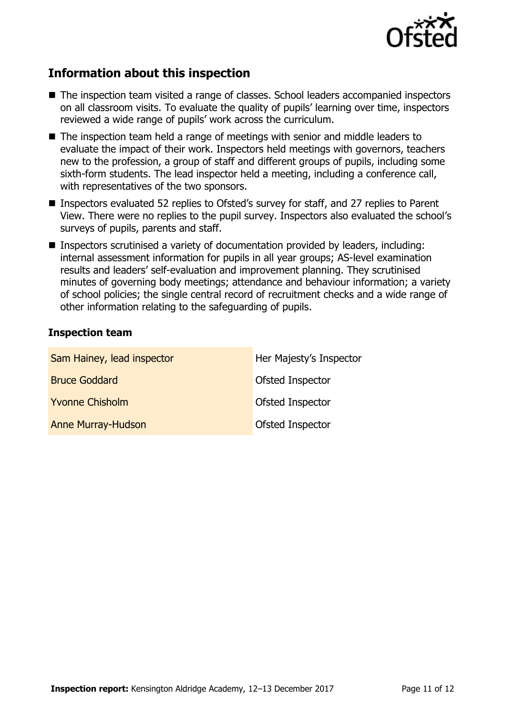

# **Information about this inspection**

- The inspection team visited a range of classes. School leaders accompanied inspectors on all classroom visits. To evaluate the quality of pupils' learning over time, inspectors reviewed a wide range of pupils' work across the curriculum.
- The inspection team held a range of meetings with senior and middle leaders to evaluate the impact of their work. Inspectors held meetings with governors, teachers new to the profession, a group of staff and different groups of pupils, including some sixth-form students. The lead inspector held a meeting, including a conference call, with representatives of the two sponsors.
- Inspectors evaluated 52 replies to Ofsted's survey for staff, and 27 replies to Parent View. There were no replies to the pupil survey. Inspectors also evaluated the school's surveys of pupils, parents and staff.
- Inspectors scrutinised a variety of documentation provided by leaders, including: internal assessment information for pupils in all year groups; AS-level examination results and leaders' self-evaluation and improvement planning. They scrutinised minutes of governing body meetings; attendance and behaviour information; a variety of school policies; the single central record of recruitment checks and a wide range of other information relating to the safeguarding of pupils.

#### **Inspection team**

| Sam Hainey, lead inspector | Her Majesty's Inspector |
|----------------------------|-------------------------|
| <b>Bruce Goddard</b>       | Ofsted Inspector        |
| <b>Yvonne Chisholm</b>     | Ofsted Inspector        |
| <b>Anne Murray-Hudson</b>  | Ofsted Inspector        |